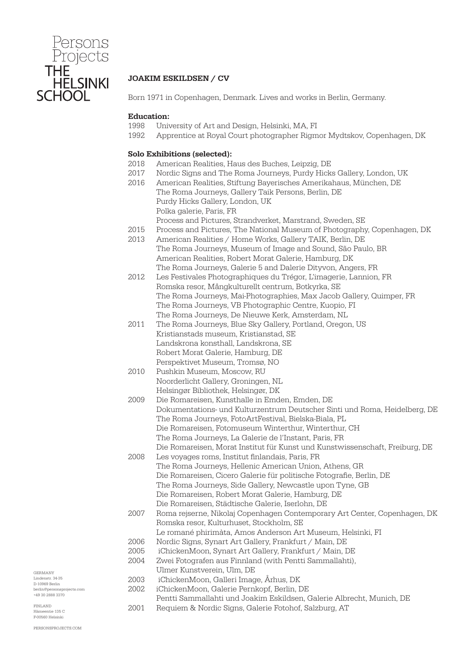

# JOAKIM ESKILDSEN / CV

Born 1971 in Copenhagen, Denmark. Lives and works in Berlin, Germany.

#### Education:

- 1998 University of Art and Design, Helsinki, MA, FI
- 1992 Apprentice at Royal Court photographer Rigmor Mydtskov, Copenhagen, DK

#### Solo Exhibitions (selected):

- 2018 American Realities, Haus des Buches, Leipzig, DE
- 2017 Nordic Signs and The Roma Journeys, Purdy Hicks Gallery, London, UK
- 2016 American Realities, Stiftung Bayerisches Amerikahaus, München, DE The Roma Journeys, Gallery Taik Persons, Berlin, DE Purdy Hicks Gallery, London, UK Polka galerie, Paris, FR Process and Pictures, Strandverket, Marstrand, Sweden, SE
- 2015 Process and Pictures, The National Museum of Photography, Copenhagen, DK
- 2013 American Realities / Home Works, Gallery TAIK, Berlin, DE The Roma Journeys, Museum of Image and Sound, São Paulo, BR American Realities, Robert Morat Galerie, Hamburg, DK The Roma Journeys, Galerie 5 and Dalerie Dityvon, Angers, FR
- 2012 Les Festivales Photographiques du Trégor, L'imagerie, Lannion, FR Romska resor, Mångkulturellt centrum, Botkyrka, SE The Roma Journeys, Mai-Photographies, Max Jacob Gallery, Quimper, FR The Roma Journeys, VB Photographic Centre, Kuopio, FI The Roma Journeys, De Nieuwe Kerk, Amsterdam, NL
- 2011 The Roma Journeys, Blue Sky Gallery, Portland, Oregon, US Kristianstads museum, Kristianstad, SE Landskrona konsthall, Landskrona, SE Robert Morat Galerie, Hamburg, DE Perspektivet Museum, Tromsø, NO
- 2010 Pushkin Museum, Moscow, RU Noorderlicht Gallery, Groningen, NL Helsingør Bibliothek, Helsingør, DK
- 2009 Die Romareisen, Kunsthalle in Emden, Emden, DE Dokumentations- und Kulturzentrum Deutscher Sinti und Roma, Heidelberg, DE The Roma Journeys, FotoArtFestival, Bielska-Biala, PL Die Romareisen, Fotomuseum Winterthur, Winterthur, CH The Roma Journeys, La Galerie de l'Instant, Paris, FR Die Romareisen, Morat Institut für Kunst und Kunstwissenschaft, Freiburg, DE
- 2008 Les voyages roms, Institut finlandais, Paris, FR The Roma Journeys, Hellenic American Union, Athens, GR Die Romareisen, Cicero Galerie für politische Fotografie, Berlin, DE The Roma Journeys, Side Gallery, Newcastle upon Tyne, GB Die Romareisen, Robert Morat Galerie, Hamburg, DE Die Romareisen, Städtische Galerie, Iserlohn, DE
- 2007 Roma rejserne, Nikolaj Copenhagen Contemporary Art Center, Copenhagen, DK Romska resor, Kulturhuset, Stockholm, SE Le romané phirimàta, Amos Anderson Art Museum, Helsinki, FI
- 2006 Nordic Signs, Synart Art Gallery, Frankfurt / Main, DE
- 2005 iChickenMoon, Synart Art Gallery, Frankfurt / Main, DE
- 2004 Zwei Fotografen aus Finnland (with Pentti Sammallahti),
- Ulmer Kunstverein, Ulm, DE
- 2003 iChickenMoon, Galleri Image, Århus, DK
- 2002 iChickenMoon, Galerie Pernkopf, Berlin, DE Pentti Sammallahti und Joakim Eskildsen, Galerie Albrecht, Munich, DE
	- 2001 Requiem & Nordic Signs, Galerie Fotohof, Salzburg, AT

GERMANY Lindenstr. 34-35 D-10969 Berlin berlin@personsprojects.com +49 30 2888 3370

FINLAND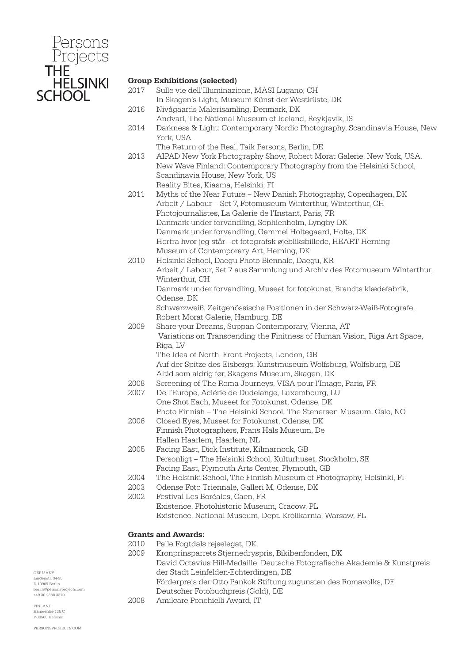

### Group Exhibitions (selected)

- 2017 Sulle vie dell'Illuminazione, MASI Lugano, CH In Skagen's Light, Museum Künst der Westküste, DE 2016 Nivågaards Malerisamling, Denmark, DK
- Andvari, The National Museum of Iceland, Reykjavík, IS
- 2014 Darkness & Light: Contemporary Nordic Photography, Scandinavia House, New York, USA
	- The Return of the Real, Taik Persons, Berlin, DE
- 2013 AIPAD New York Photography Show, Robert Morat Galerie, New York, USA. New Wave Finland: Contemporary Photography from the Helsinki School, Scandinavia House, New York, US Reality Bites, Kiasma, Helsinki, FI
- 2011 Myths of the Near Future New Danish Photography, Copenhagen, DK Arbeit / Labour – Set 7, Fotomuseum Winterthur, Winterthur, CH Photojournalistes, La Galerie de l'Instant, Paris, FR Danmark under forvandling, Sophienholm, Lyngby DK Danmark under forvandling, Gammel Holtegaard, Holte, DK Herfra hvor jeg står –et fotografsk øjebliksbillede, HEART Herning Museum of Contemporary Art, Herning, DK
- 2010 Helsinki School, Daegu Photo Biennale, Daegu, KR Arbeit / Labour, Set 7 aus Sammlung und Archiv des Fotomuseum Winterthur, Winterthur, CH Danmark under forvandling, Museet for fotokunst, Brandts klædefabrik, Odense, DK Schwarzweiß, Zeitgenössische Positionen in der Schwarz-Weiß-Fotografe, Robert Morat Galerie, Hamburg, DE
- 2009 Share your Dreams, Suppan Contemporary, Vienna, AT Variations on Transcending the Finitness of Human Vision, Riga Art Space, Riga, LV The Idea of North, Front Projects, London, GB Auf der Spitze des Eisbergs, Kunstmuseum Wolfsburg, Wolfsburg, DE
	- Altid som aldrig før, Skagens Museum, Skagen, DK
- 2008 Screening of The Roma Journeys, VISA pour l'Image, Paris, FR
- 2007 De l'Europe, Aciérie de Dudelange, Luxembourg, LU One Shot Each, Museet for Fotokunst, Odense, DK Photo Finnish – The Helsinki School, The Stenersen Museum, Oslo, NO
- 2006 Closed Eyes, Museet for Fotokunst, Odense, DK Finnish Photographers, Frans Hals Museum, De Hallen Haarlem, Haarlem, NL
- 2005 Facing East, Dick Institute, Kilmarnock, GB Personligt – The Helsinki School, Kulturhuset, Stockholm, SE Facing East, Plymouth Arts Center, Plymouth, GB
- 2004 The Helsinki School, The Finnish Museum of Photography, Helsinki, FI
- 2003 Odense Foto Triennale, Galleri M, Odense, DK
- 2002 Festival Les Boréales, Caen, FR Existence, Photohistoric Museum, Cracow, PL Existence, National Museum, Dept. Królikarnia, Warsaw, PL

## Grants and Awards:

- 2010 Palle Fogtdals rejselegat, DK
- 2009 Kronprinsparrets Stjernedryspris, Bikibenfonden, DK David Octavius Hill-Medaille, Deutsche Fotografische Akademie & Kunstpreis der Stadt Leinfelden-Echterdingen, DE Förderpreis der Otto Pankok Stiftung zugunsten des Romavolks, DE
- Deutscher Fotobuchpreis (Gold), DE
- 2008 Amilcare Ponchielli Award, IT

GERMANY Lindenstr. 34-35 D-10969 Berlin berlin@personsprojects.com +49 30 2888 3370

FINLAND  $m<sub>th</sub>$  125  $C$ F-00560 Helsinki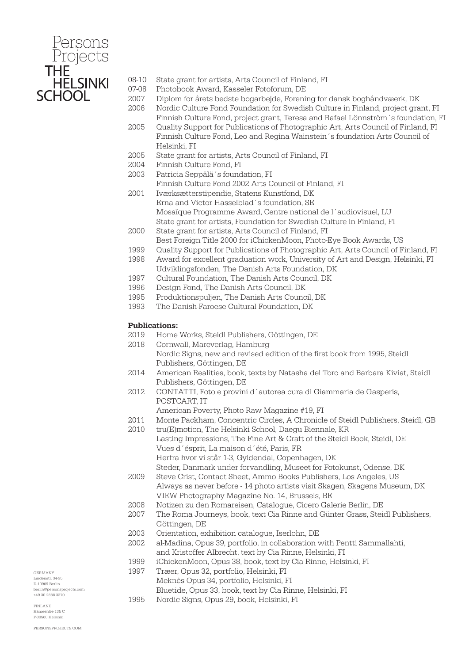

- 08-10 State grant for artists, Arts Council of Finland, FI
- 07-08 Photobook Award, Kasseler Fotoforum, DE
- 2007 Diplom for årets bedste bogarbejde, Forening for dansk boghåndvæerk, DK 2006 Nordic Culture Fond Foundation for Swedish Culture in Finland, project grant, FI
- Finnish Culture Fond, project grant, Teresa and Rafael Lönnström´s foundation, FI 2005 Quality Support for Publications of Photographic Art, Arts Council of Finland, FI
- Finnish Culture Fond, Leo and Regina Wainstein´s foundation Arts Council of Helsinki, FI
- 2005 State grant for artists, Arts Council of Finland, FI
- 2004 Finnish Culture Fond, FI
- 2003 Patricia Seppälä´s foundation, FI
	- Finnish Culture Fond 2002 Arts Council of Finland, FI
- 2001 Iværksætterstipendie, Statens Kunstfond, DK Erna and Victor Hasselblad´s foundation, SE Mosaïque Programme Award, Centre national de l´audiovisuel, LU State grant for artists, Foundation for Swedish Culture in Finland, FI
- 2000 State grant for artists, Arts Council of Finland, FI Best Foreign Title 2000 for iChickenMoon, Photo-Eye Book Awards, US
- 1999 Quality Support for Publications of Photographic Art, Arts Council of Finland, FI
- 1998 Award for excellent graduation work, University of Art and Design, Helsinki, FI Udviklingsfonden, The Danish Arts Foundation, DK
- 1997 Cultural Foundation, The Danish Arts Council, DK
- 1996 Design Fond, The Danish Arts Council, DK
- 1995 Produktionspuljen, The Danish Arts Council, DK
- 1993 The Danish-Faroese Cultural Foundation, DK

#### Publications:

- 2019 Home Works, Steidl Publishers, Göttingen, DE
- 2018 Cornwall, Mareverlag, Hamburg Nordic Signs, new and revised edition of the first book from 1995, Steidl Publishers, Göttingen, DE
- 2014 American Realities, book, texts by Natasha del Toro and Barbara Kiviat, Steidl Publishers, Göttingen, DE
- 2012 CONTATTI, Foto e provini d´autorea cura di Giammaria de Gasperis, POSTCART, IT
	- American Poverty, Photo Raw Magazine #19, FI
- 2011 Monte Packham, Concentric Circles, A Chronicle of Steidl Publishers, Steidl, GB
- 2010 tru(E)motion, The Helsinki School, Daegu Biennale, KR Lasting Impressions, The Fine Art & Craft of the Steidl Book, Steidl, DE Vues d´ésprit, La maison d´été, Paris, FR Herfra hvor vi står 1-3, Gyldendal, Copenhagen, DK Steder, Danmark under forvandling, Museet for Fotokunst, Odense, DK 2009 Steve Crist, Contact Sheet, Ammo Books Publishers, Los Angeles, US
	- Always as never before 14 photo artists visit Skagen, Skagens Museum, DK VIEW Photography Magazine No. 14, Brussels, BE
- 2008 Notizen zu den Romareisen, Catalogue, Cicero Galerie Berlin, DE
- 2007 The Roma Journeys, book, text Cia Rinne and Günter Grass, Steidl Publishers, Göttingen, DE
- 2003 Orientation, exhibition catalogue, Iserlohn, DE
- 2002 al-Madina, Opus 39, portfolio, in collaboration with Pentti Sammallahti, and Kristoffer Albrecht, text by Cia Rinne, Helsinki, FI
- 1999 iChickenMoon, Opus 38, book, text by Cia Rinne, Helsinki, FI
- 1997 Træer, Opus 32, portfolio, Helsinki, FI
- Meknès Opus 34, portfolio, Helsinki, FI
- Bluetide, Opus 33, book, text by Cia Rinne, Helsinki, FI
- 1995 Nordic Signs, Opus 29, book, Helsinki, FI

GERMANY Lindenstr. 34-35 D-10969 Berlin berlin@personsprojects.com +49 30 2888 3370

FINLAND  $m<sub>th</sub>$  125  $C$ F-00560 Helsinki